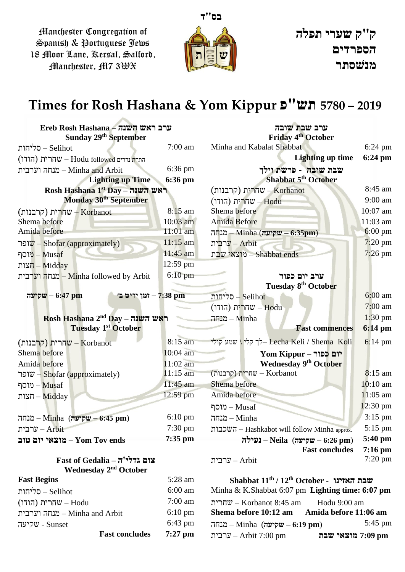Manchester Congregation of Spanish & Portuguese Jews 18 Moor Lane, Kersal, Salford, Manchester, M7 3WX



## **Times for Rosh Hashana & Yom Kippur פ"תש 5780 – 2019**

| Ereb Rosh Hashana – ערב ראש השנה                          |                   | ערב שבת שובה                                        |                    |
|-----------------------------------------------------------|-------------------|-----------------------------------------------------|--------------------|
| Sunday 29 <sup>th</sup> September                         |                   | <b>Friday 4th October</b>                           |                    |
| סליחות – Selihot                                          | $7:00$ am         | Minha and Kabalat Shabbat                           | $6:24 \text{ pm}$  |
| התרת (הודו) התרת Hodu followed – שחרית                    |                   | Lighting up time                                    | $6:24 \text{ pm}$  |
| מנחה וערבית – Minha and Arbit                             | $6:36$ pm         | שבת שובה - פרשת וילך                                |                    |
| <b>Lighting up Time</b>                                   | 6:36 pm           | Shabbat 5 <sup>th</sup> October                     |                    |
| Rosh Hashana 1st Day – ראש השנה                           |                   | (קרבנות) w - Korbanot                               | 8:45 am            |
| Monday 30 <sup>th</sup> September                         |                   | (הודו) שחרית $-$ Hodu                               | $9:00$ am          |
| (קרבנות) – שחרית - Korbanot                               | $8:15$ am         | Shema before                                        | 10:07 am           |
| Shema before                                              | $10:03$ am        | <b>Amida Before</b>                                 | $11:03$ am         |
| Amida before                                              | 11:01 am          | ה, Minha (שקיעה – 6:35pm)                           | $6:00 \text{ pm}$  |
| ופר $v$ – Shofar (approximately)                          | $11:15$ am        | ערבית $-$ Arbit                                     | $7:20 \text{ pm}$  |
| מוסף – מוסף                                               | 11:45 am          | מוצאי שבת – Shabbat ends                            | $7:26$ pm          |
| הצות – Midday                                             | $12:59$ pm        |                                                     |                    |
| מנחה וערבית – Minha followed by Arbit                     | $6:10$ pm         | ערב יום כפור                                        |                    |
|                                                           |                   | Tuesday 8 <sup>th</sup> October                     |                    |
| יוייט בי – 7:38 pm<br>שקיעה $-6:47$ pm                    |                   | סליחות – Selihot                                    | $6:00$ am          |
|                                                           |                   | $($ הודו – שחרית $-$ Hodu                           | $7:00 \text{ am}$  |
| Rosh Hashana $2nd$ Day – ראש השנה                         |                   | $-$ מנחה – Minha                                    | $1:30$ pm          |
| <b>Tuesday 1st October</b>                                |                   | <b>Fast commences</b>                               | 6:14 pm            |
| (קרבנות) W - Korbanot                                     | 8:15 am           | לך קלי / שמע קולי<br>Lecha Keli / Shema Koli        | $6:14 \text{ pm}$  |
| Shema before                                              | $10:04$ am        | <b>Yom Kippur – יום כפור</b>                        |                    |
| Amida before                                              | 11:02 am          | <b>Wednesday 9th October</b>                        |                    |
| שופר $-$ Shofar (approximately)                           | $11:15$ am        | (קרבנות) שחרית – Korbanot                           | $8:15$ am          |
| מוסף – מוסף                                               | 11:45 am          | Shema before                                        | $10:10$ am         |
| $-\overline{\text{Midday}}$ – $-\overline{\text{Midday}}$ | 12:59 pm          | Amida before                                        | $11:05$ am         |
|                                                           |                   | מוסף – מוסף                                         | $12:30 \text{ pm}$ |
| ה - Minha (שקיעה – 6:45 pm)                               | $6:10 \text{ pm}$ | $-\text{Minha}$ – מנחה                              | 3:15 pm            |
| ערבית – Arbit                                             | 7:30 pm           | השכבות - Hashkabot will follow Minha approx.        | 5:15 pm            |
| מוצאי יום שוב – Yom Tov ends                              | $7:35$ pm         | בעילה – Neila (שקיעה – 6:26 pm)                     | $5:40$ pm          |
|                                                           |                   | <b>Fast concludes</b>                               | $7:16$ pm          |
| $Fast of Gedalia - 7'$ צום גדלי                           |                   | ערבית – Arbit                                       | $7:20 \text{ pm}$  |
| Wednesday 2 <sup>nd</sup> October                         |                   |                                                     |                    |
| <b>Fast Begins</b>                                        | 5:28 am           | Shabbat $11^{\text{th}}$ / שבת האזינו - Shabbat שבת |                    |
| סליחות – Selihot                                          | $6:00$ am         | Minha & K.Shabbat 6:07 pm Lighting time: $6:07$ pm  |                    |
| (הודו) שחרית $w -$ Hodu                                   | $7:00$ am         | הרית – Korbanot 8:45 am<br>Hodu 9:00 am             |                    |
| מנחה וערבית – Minha and Arbit                             | $6:10 \text{ pm}$ | Shema before 10:12 am<br>Amida before 11:06 am      |                    |
| שקיעה - Sunset                                            | $6:43$ pm         | הה – Minha (שקיעה – 6:19 pm)                        | 5:45 pm            |
| <b>Fast concludes</b>                                     | $7:27$ pm         | ערבית $-$ Arbit 7:00 pm<br>חון 7:09 מוצאי שבת       |                    |